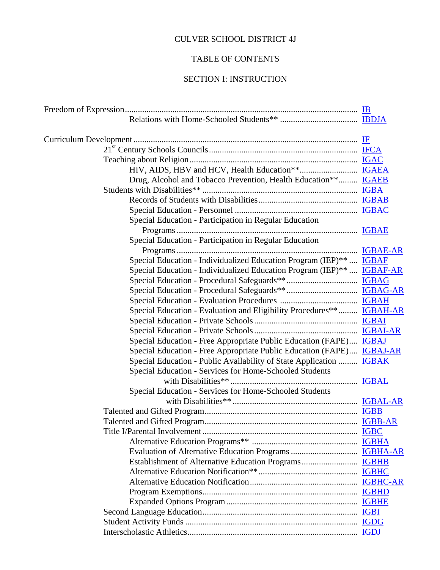## CULVER SCHOOL DISTRICT 4J

## TABLE OF CONTENTS

## SECTION I: INSTRUCTION

| Drug, Alcohol and Tobacco Prevention, Health Education** IGAEB            |  |
|---------------------------------------------------------------------------|--|
|                                                                           |  |
|                                                                           |  |
|                                                                           |  |
| Special Education - Participation in Regular Education                    |  |
| Special Education - Participation in Regular Education                    |  |
|                                                                           |  |
| Special Education - Individualized Education Program (IEP)**  IGBAF       |  |
| Special Education - Individualized Education Program (IEP)**  IGBAF-AR    |  |
|                                                                           |  |
|                                                                           |  |
|                                                                           |  |
| Special Education - Evaluation and Eligibility Procedures** IGBAH-AR      |  |
|                                                                           |  |
|                                                                           |  |
| Special Education - Free Appropriate Public Education (FAPE) IGBAJ        |  |
| Special Education - Free Appropriate Public Education (FAPE) IGBAJ-AR     |  |
| Special Education - Public Availability of State Application <b>IGBAK</b> |  |
| Special Education - Services for Home-Schooled Students                   |  |
|                                                                           |  |
| Special Education - Services for Home-Schooled Students                   |  |
|                                                                           |  |
|                                                                           |  |
|                                                                           |  |
|                                                                           |  |
|                                                                           |  |
|                                                                           |  |
|                                                                           |  |
|                                                                           |  |
|                                                                           |  |
|                                                                           |  |
|                                                                           |  |
|                                                                           |  |
|                                                                           |  |
|                                                                           |  |